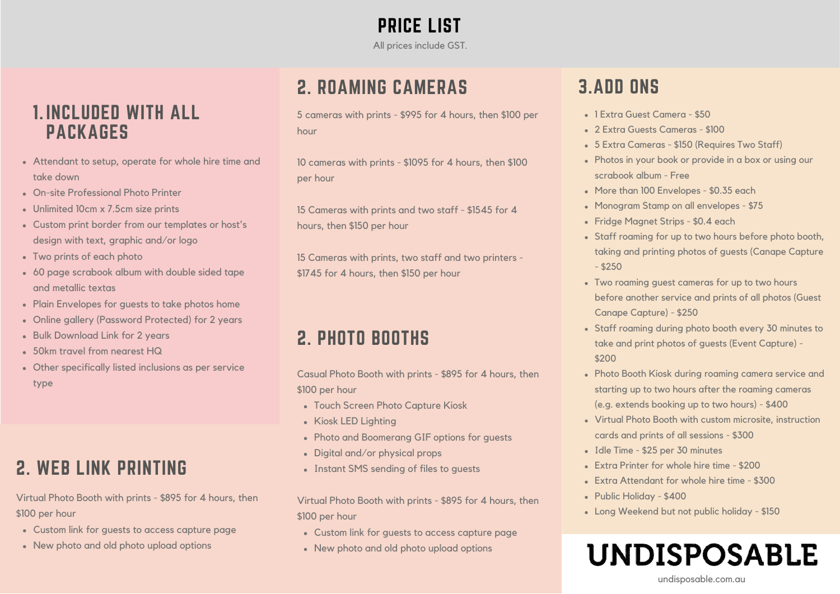PRICE LIST All prices include GST.

### 2. ROAMING CAMERAS

5 cameras with prints - \$995 for 4 hours, then \$100 per hour

10 cameras with prints - \$1095 for 4 hours, then \$100 per hour

15 Cameras with prints and two staff - \$1545 for 4 hours, then \$150 per hour

15 Cameras with prints, two staff and two printers - \$1745 for 4 hours, then \$150 per hour

### 2. PHOTO BOOTHS

Casual Photo Booth with prints - \$895 for 4 hours, then \$100 per hour

- Touch Screen Photo Capture Kiosk
- Kiosk LED Lighting
- Photo and Boomerang GIF options for guests
- Digital and/or physical props
- Instant SMS sending of files to guests

Virtual Photo Booth with prints - \$895 for 4 hours, then \$100 per hour

- Custom link for guests to access capture page
- New photo and old photo upload options

### 3.ADD ONS

- 1 Extra Guest Camera \$50
- 2 Extra Guests Cameras \$100
- 5 Extra Cameras \$150 (Requires Two Staff)
- Photos in your book or provide in a box or using our scrabook album - Free
- More than 100 Envelopes \$0.35 each
- Monogram Stamp on all envelopes \$75
- Fridge Magnet Strips \$0.4 each
- Staff roaming for up to two hours before photo booth, taking and printing photos of guests (Canape Capture  $-$  \$250
- Two roaming guest cameras for up to two hours before another service and prints of all photos (Guest Canape Capture) - \$250
- Staff roaming during photo booth every 30 minutes to take and print photos of guests (Event Capture) - \$200
- Photo Booth Kiosk during roaming camera service and starting up to two hours after the roaming cameras (e.g. extends booking up to two hours) - \$400
- Virtual Photo Booth with custom microsite, instruction cards and prints of all sessions - \$300
- Idle Time \$25 per 30 minutes
- Extra Printer for whole hire time \$200
- Extra Attendant for whole hire time \$300
- Public Holiday \$400
- Long Weekend but not public holiday \$150

### **UNDISPOSABLE** undisposable.com.au

### **1. INCLUDED WITH ALL PACKAGES**

- Attendant to setup, operate for whole hire time and take down
- On-site Professional Photo Printer
- Unlimited 10cm x 7.5cm size prints
- Custom print border from our templates or host's design with text, graphic and/or logo
- Two prints of each photo
- 60 page scrabook album with double sided tape and metallic textas
- Plain Envelopes for quests to take photos home
- Online gallery (Password Protected) for 2 years
- **Bulk Download Link for 2 years**
- 50km travel from nearest HQ
- Other specifically listed inclusions as per service type

## 2. WEB LINK PRINTING

Virtual Photo Booth with prints - \$895 for 4 hours, then \$100 per hour

- Custom link for guests to access capture page
- New photo and old photo upload options